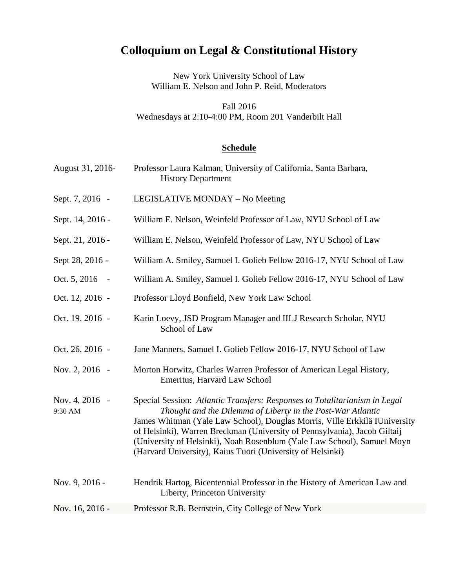## **Colloquium on Legal & Constitutional History**

New York University School of Law William E. Nelson and John P. Reid, Moderators

Fall 2016 Wednesdays at 2:10-4:00 PM, Room 201 Vanderbilt Hall

## **Schedule**

| Professor Laura Kalman, University of California, Santa Barbara,<br><b>History Department</b>                                                                                                                                                                                                                                                                                                                                                 |
|-----------------------------------------------------------------------------------------------------------------------------------------------------------------------------------------------------------------------------------------------------------------------------------------------------------------------------------------------------------------------------------------------------------------------------------------------|
| LEGISLATIVE MONDAY – No Meeting                                                                                                                                                                                                                                                                                                                                                                                                               |
| William E. Nelson, Weinfeld Professor of Law, NYU School of Law                                                                                                                                                                                                                                                                                                                                                                               |
| William E. Nelson, Weinfeld Professor of Law, NYU School of Law                                                                                                                                                                                                                                                                                                                                                                               |
| William A. Smiley, Samuel I. Golieb Fellow 2016-17, NYU School of Law                                                                                                                                                                                                                                                                                                                                                                         |
| William A. Smiley, Samuel I. Golieb Fellow 2016-17, NYU School of Law                                                                                                                                                                                                                                                                                                                                                                         |
| Professor Lloyd Bonfield, New York Law School                                                                                                                                                                                                                                                                                                                                                                                                 |
| Karin Loevy, JSD Program Manager and IILJ Research Scholar, NYU<br>School of Law                                                                                                                                                                                                                                                                                                                                                              |
| Jane Manners, Samuel I. Golieb Fellow 2016-17, NYU School of Law                                                                                                                                                                                                                                                                                                                                                                              |
| Morton Horwitz, Charles Warren Professor of American Legal History,<br>Emeritus, Harvard Law School                                                                                                                                                                                                                                                                                                                                           |
| Special Session: Atlantic Transfers: Responses to Totalitarianism in Legal<br>Thought and the Dilemma of Liberty in the Post-War Atlantic<br>James Whitman (Yale Law School), Douglas Morris, Ville Erkkilä IUniversity<br>of Helsinki), Warren Breckman (University of Pennsylvania), Jacob Giltaij<br>(University of Helsinki), Noah Rosenblum (Yale Law School), Samuel Moyn<br>(Harvard University), Kaius Tuori (University of Helsinki) |
| Hendrik Hartog, Bicentennial Professor in the History of American Law and<br>Liberty, Princeton University                                                                                                                                                                                                                                                                                                                                    |
| Professor R.B. Bernstein, City College of New York                                                                                                                                                                                                                                                                                                                                                                                            |
|                                                                                                                                                                                                                                                                                                                                                                                                                                               |